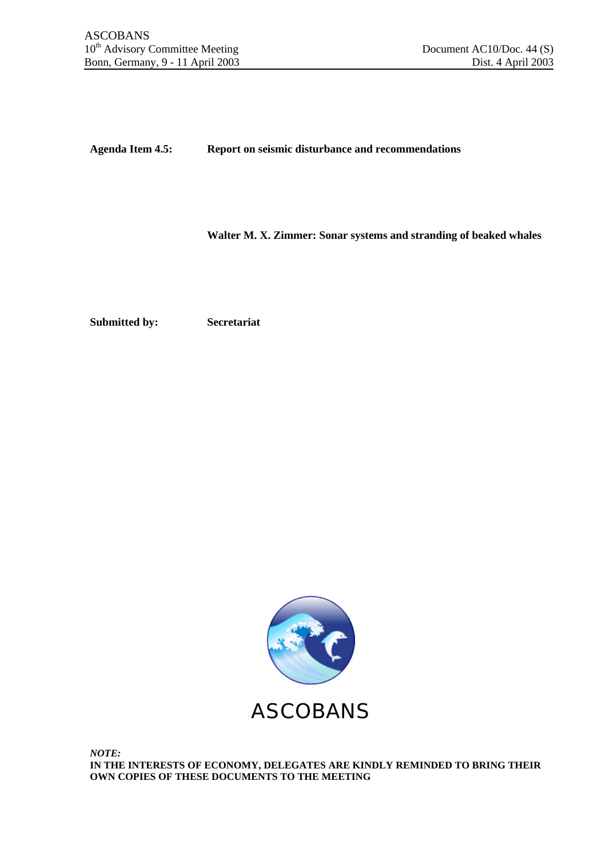**Agenda Item 4.5: Report on seismic disturbance and recommendations**

**Walter M. X. Zimmer: Sonar systems and stranding of beaked whales**

**Submitted by: Secretariat**

ASCOBANS

*NOTE:* **IN THE INTERESTS OF ECONOMY, DELEGATES ARE KINDLY REMINDED TO BRING THEIR OWN COPIES OF THESE DOCUMENTS TO THE MEETING**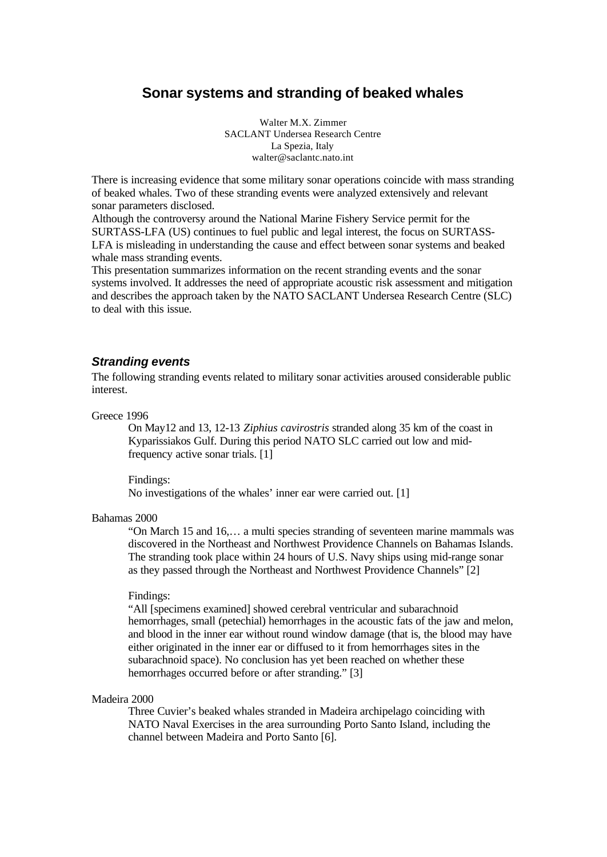# **Sonar systems and stranding of beaked whales**

Walter M.X. Zimmer SACLANT Undersea Research Centre La Spezia, Italy walter@saclantc.nato.int

There is increasing evidence that some military sonar operations coincide with mass stranding of beaked whales. Two of these stranding events were analyzed extensively and relevant sonar parameters disclosed.

Although the controversy around the National Marine Fishery Service permit for the SURTASS-LFA (US) continues to fuel public and legal interest, the focus on SURTASS-LFA is misleading in understanding the cause and effect between sonar systems and beaked whale mass stranding events.

This presentation summarizes information on the recent stranding events and the sonar systems involved. It addresses the need of appropriate acoustic risk assessment and mitigation and describes the approach taken by the NATO SACLANT Undersea Research Centre (SLC) to deal with this issue.

#### *Stranding events*

The following stranding events related to military sonar activities aroused considerable public interest.

Greece 1996

On May12 and 13, 12-13 *Ziphius cavirostris* stranded along 35 km of the coast in Kyparissiakos Gulf. During this period NATO SLC carried out low and midfrequency active sonar trials. [1]

Findings: No investigations of the whales' inner ear were carried out. [1]

#### Bahamas 2000

"On March 15 and 16,… a multi species stranding of seventeen marine mammals was discovered in the Northeast and Northwest Providence Channels on Bahamas Islands. The stranding took place within 24 hours of U.S. Navy ships using mid-range sonar as they passed through the Northeast and Northwest Providence Channels" [2]

#### Findings:

"All [specimens examined] showed cerebral ventricular and subarachnoid hemorrhages, small (petechial) hemorrhages in the acoustic fats of the jaw and melon, and blood in the inner ear without round window damage (that is, the blood may have either originated in the inner ear or diffused to it from hemorrhages sites in the subarachnoid space). No conclusion has yet been reached on whether these hemorrhages occurred before or after stranding." [3]

#### Madeira 2000

Three Cuvier's beaked whales stranded in Madeira archipelago coinciding with NATO Naval Exercises in the area surrounding Porto Santo Island, including the channel between Madeira and Porto Santo [6].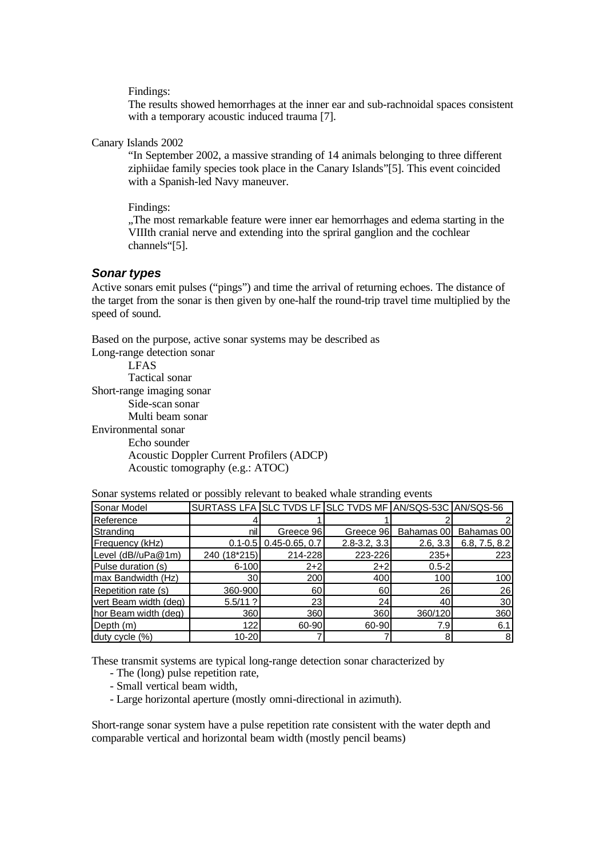Findings:

The results showed hemorrhages at the inner ear and sub-rachnoidal spaces consistent with a temporary acoustic induced trauma [7].

Canary Islands 2002

"In September 2002, a massive stranding of 14 animals belonging to three different ziphiidae family species took place in the Canary Islands"[5]. This event coincided with a Spanish-led Navy maneuver.

Findings:

"The most remarkable feature were inner ear hemorrhages and edema starting in the VIIIth cranial nerve and extending into the spriral ganglion and the cochlear channels"[5].

#### *Sonar types*

Active sonars emit pulses ("pings") and time the arrival of returning echoes. The distance of the target from the sonar is then given by one-half the round-trip travel time multiplied by the speed of sound.

Based on the purpose, active sonar systems may be described as Long-range detection sonar

LFAS Tactical sonar Short-range imaging sonar Side-scan sonar Multi beam sonar Environmental sonar Echo sounder Acoustic Doppler Current Profilers (ADCP) Acoustic tomography (e.g.: ATOC)

| Sonar Model           | SURTASS LFA SLC TVDS LF SLC TVDS MF AN/SQS-53C AN/SQS-56 |                            |                  |            |                 |
|-----------------------|----------------------------------------------------------|----------------------------|------------------|------------|-----------------|
| Reference             |                                                          |                            |                  |            |                 |
| Stranding             | nil                                                      | Greece 96                  | Greece 96        | Bahamas 00 | Bahamas 00      |
| Frequency (kHz)       |                                                          | $0.1 - 0.5$ 0.45-0.65, 0.7 | $2.8 - 3.2, 3.3$ | 2.6, 3.3   | 6.8, 7.5, 8.2   |
| Level (dB//uPa@1m)    | 240 (18*215)                                             | 214-228                    | 223-226          | $235+$     | 223             |
| Pulse duration (s)    | $6 - 100$                                                | $2+2$                      | $2+2$            | $0.5 - 2$  |                 |
| max Bandwidth (Hz)    | 30 <sup>1</sup>                                          | <b>200</b>                 | 400              | 100        | 100             |
| Repetition rate (s)   | 360-900                                                  | 60                         | 60               | 26         | 26              |
| vert Beam width (deg) | $5.5/11$ ?                                               | 23                         | 24 <sub>1</sub>  | 40         | 30 <sub>l</sub> |
| hor Beam width (deg)  | 360                                                      | <b>360</b>                 | 360              | 360/120    | 360             |
| Depth (m)             | 122                                                      | 60-90                      | 60-90            | 7.9        | 6.1             |
| duty cycle (%)        | $10 - 20$                                                |                            |                  |            | 8 <sup>1</sup>  |

Sonar systems related or possibly relevant to beaked whale stranding events

These transmit systems are typical long-range detection sonar characterized by

- The (long) pulse repetition rate,
- Small vertical beam width,
- Large horizontal aperture (mostly omni-directional in azimuth).

Short-range sonar system have a pulse repetition rate consistent with the water depth and comparable vertical and horizontal beam width (mostly pencil beams)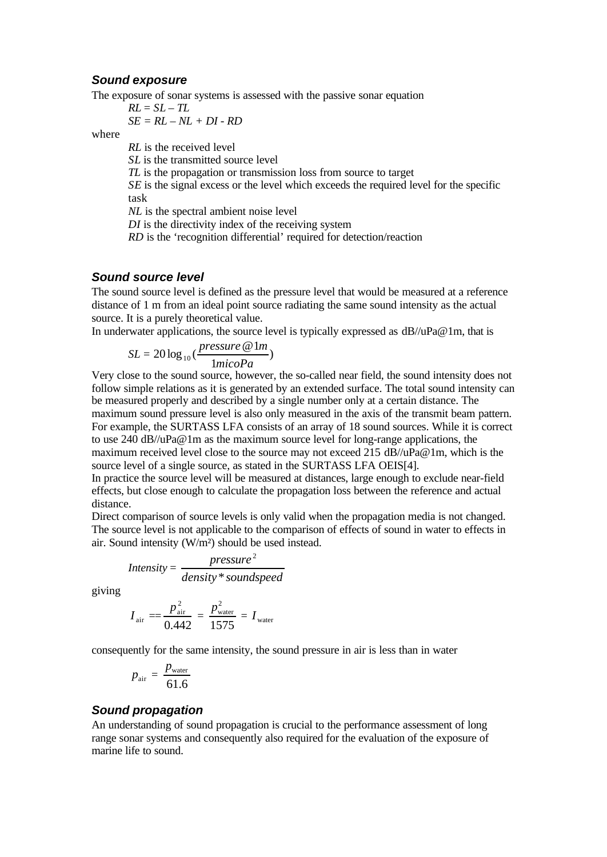#### *Sound exposure*

The exposure of sonar systems is assessed with the passive sonar equation

$$
RL = SL - TL
$$
  
SE = RL - NL + DI - RD

where

*RL* is the received level

*SL* is the transmitted source level

*TL* is the propagation or transmission loss from source to target

*SE* is the signal excess or the level which exceeds the required level for the specific task

*NL* is the spectral ambient noise level

*DI* is the directivity index of the receiving system

*RD* is the 'recognition differential' required for detection/reaction

## *Sound source level*

The sound source level is defined as the pressure level that would be measured at a reference distance of 1 m from an ideal point source radiating the same sound intensity as the actual source. It is a purely theoretical value.

In underwater applications, the source level is typically expressed as dB//uPa@1m, that is

$$
SL = 20 \log_{10}(\frac{pressure \ @ \ 1m}{1micoPa})
$$

Very close to the sound source, however, the so-called near field, the sound intensity does not follow simple relations as it is generated by an extended surface. The total sound intensity can be measured properly and described by a single number only at a certain distance. The maximum sound pressure level is also only measured in the axis of the transmit beam pattern. For example, the SURTASS LFA consists of an array of 18 sound sources. While it is correct to use 240 dB//uPa@1m as the maximum source level for long-range applications, the maximum received level close to the source may not exceed 215 dB//uPa@1m, which is the source level of a single source, as stated in the SURTASS LFA OEIS[4].

In practice the source level will be measured at distances, large enough to exclude near-field effects, but close enough to calculate the propagation loss between the reference and actual distance.

Direct comparison of source levels is only valid when the propagation media is not changed. The source level is not applicable to the comparison of effects of sound in water to effects in air. Sound intensity (W/m²) should be used instead.

$$
Intensity = \frac{pressure^2}{density * soundspeed}
$$

giving

$$
I_{\text{air}} = \frac{p_{\text{air}}^2}{0.442} = \frac{p_{\text{water}}^2}{1575} = I_{\text{water}}
$$

consequently for the same intensity, the sound pressure in air is less than in water

$$
p_{\text{air}} = \frac{p_{\text{water}}}{61.6}
$$

## *Sound propagation*

An understanding of sound propagation is crucial to the performance assessment of long range sonar systems and consequently also required for the evaluation of the exposure of marine life to sound.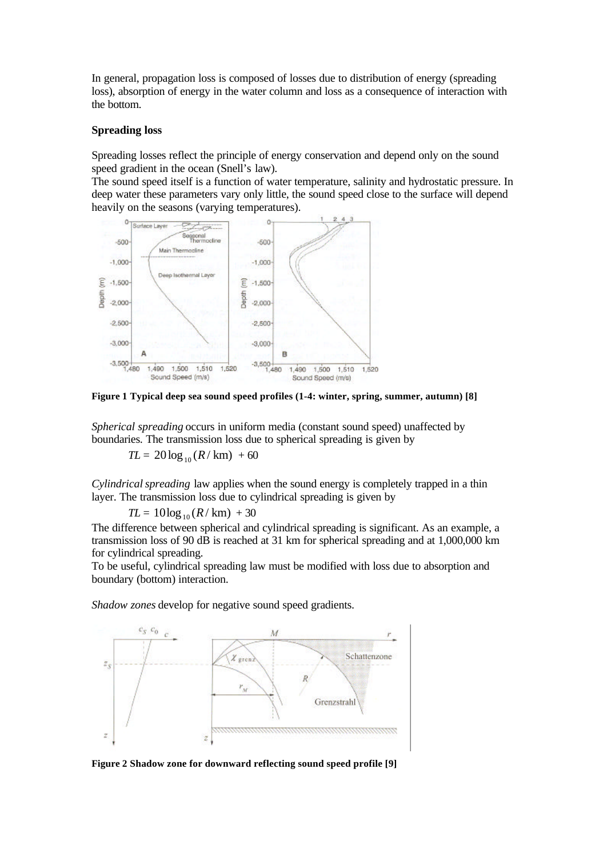In general, propagation loss is composed of losses due to distribution of energy (spreading loss), absorption of energy in the water column and loss as a consequence of interaction with the bottom.

#### **Spreading loss**

Spreading losses reflect the principle of energy conservation and depend only on the sound speed gradient in the ocean (Snell's law).

The sound speed itself is a function of water temperature, salinity and hydrostatic pressure. In deep water these parameters vary only little, the sound speed close to the surface will depend heavily on the seasons (varying temperatures).



**Figure 1 Typical deep sea sound speed profiles (1-4: winter, spring, summer, autumn) [8]**

*Spherical spreading* occurs in uniform media (constant sound speed) unaffected by boundaries. The transmission loss due to spherical spreading is given by

 $TL = 20 \log_{10} (R / \text{ km}) + 60$ 

*Cylindrical spreading* law applies when the sound energy is completely trapped in a thin layer. The transmission loss due to cylindrical spreading is given by

 $TL = 10\log_{10}(R/\text{km}) + 30$ 

The difference between spherical and cylindrical spreading is significant. As an example, a transmission loss of 90  $\overline{dB}$  is reached at 31 km for spherical spreading and at 1,000,000 km for cylindrical spreading.

To be useful, cylindrical spreading law must be modified with loss due to absorption and boundary (bottom) interaction.

*Shadow zones* develop for negative sound speed gradients.



**Figure 2 Shadow zone for downward reflecting sound speed profile [9]**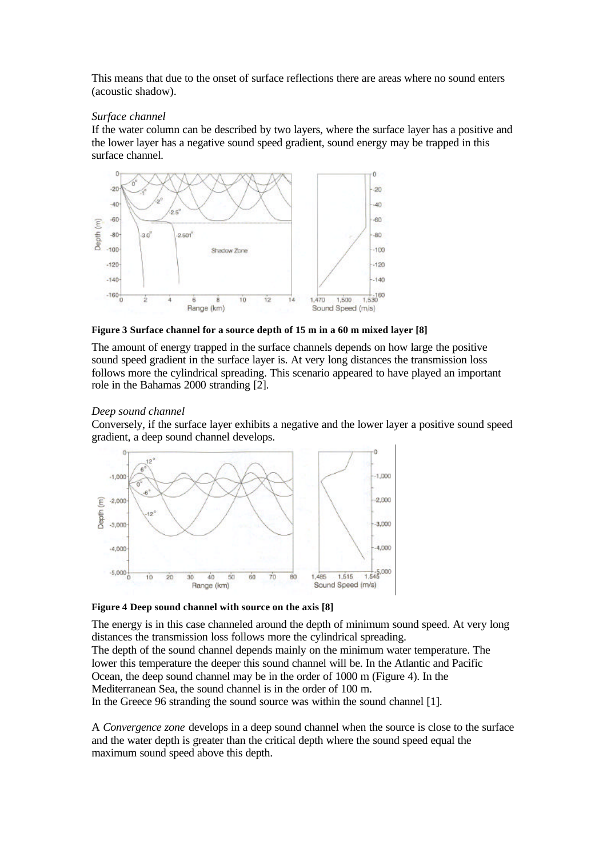This means that due to the onset of surface reflections there are areas where no sound enters (acoustic shadow).

#### *Surface channel*

If the water column can be described by two layers, where the surface layer has a positive and the lower layer has a negative sound speed gradient, sound energy may be trapped in this surface channel.



#### **Figure 3 Surface channel for a source depth of 15 m in a 60 m mixed layer [8]**

The amount of energy trapped in the surface channels depends on how large the positive sound speed gradient in the surface layer is. At very long distances the transmission loss follows more the cylindrical spreading. This scenario appeared to have played an important role in the Bahamas 2000 stranding [2].

#### *Deep sound channel*

Conversely, if the surface layer exhibits a negative and the lower layer a positive sound speed gradient, a deep sound channel develops.



## **Figure 4 Deep sound channel with source on the axis [8]**

The energy is in this case channeled around the depth of minimum sound speed. At very long distances the transmission loss follows more the cylindrical spreading. The depth of the sound channel depends mainly on the minimum water temperature. The lower this temperature the deeper this sound channel will be. In the Atlantic and Pacific Ocean, the deep sound channel may be in the order of 1000 m (Figure 4). In the Mediterranean Sea, the sound channel is in the order of 100 m.

In the Greece 96 stranding the sound source was within the sound channel [1].

A *Convergence zone* develops in a deep sound channel when the source is close to the surface and the water depth is greater than the critical depth where the sound speed equal the maximum sound speed above this depth.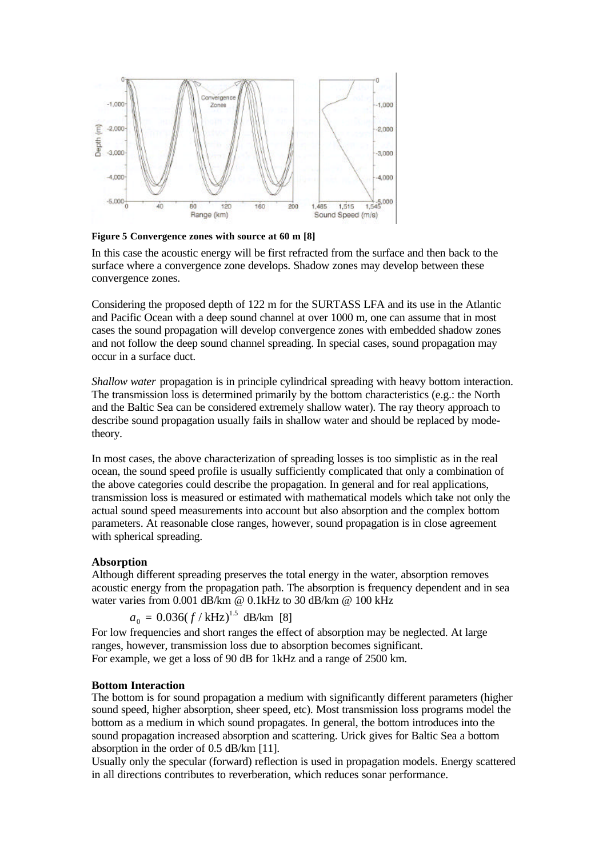

**Figure 5 Convergence zones with source at 60 m [8]**

In this case the acoustic energy will be first refracted from the surface and then back to the surface where a convergence zone develops. Shadow zones may develop between these convergence zones.

Considering the proposed depth of 122 m for the SURTASS LFA and its use in the Atlantic and Pacific Ocean with a deep sound channel at over 1000 m, one can assume that in most cases the sound propagation will develop convergence zones with embedded shadow zones and not follow the deep sound channel spreading. In special cases, sound propagation may occur in a surface duct.

*Shallow water* propagation is in principle cylindrical spreading with heavy bottom interaction. The transmission loss is determined primarily by the bottom characteristics (e.g.: the North and the Baltic Sea can be considered extremely shallow water). The ray theory approach to describe sound propagation usually fails in shallow water and should be replaced by modetheory.

In most cases, the above characterization of spreading losses is too simplistic as in the real ocean, the sound speed profile is usually sufficiently complicated that only a combination of the above categories could describe the propagation. In general and for real applications, transmission loss is measured or estimated with mathematical models which take not only the actual sound speed measurements into account but also absorption and the complex bottom parameters. At reasonable close ranges, however, sound propagation is in close agreement with spherical spreading.

## **Absorption**

Although different spreading preserves the total energy in the water, absorption removes acoustic energy from the propagation path. The absorption is frequency dependent and in sea water varies from 0.001 dB/km @ 0.1kHz to 30 dB/km @ 100 kHz

$$
a_0 = 0.036(f/kHz)^{1.5}
$$
 dB/km [8]

For low frequencies and short ranges the effect of absorption may be neglected. At large ranges, however, transmission loss due to absorption becomes significant. For example, we get a loss of 90 dB for 1kHz and a range of 2500 km.

## **Bottom Interaction**

The bottom is for sound propagation a medium with significantly different parameters (higher sound speed, higher absorption, sheer speed, etc). Most transmission loss programs model the bottom as a medium in which sound propagates. In general, the bottom introduces into the sound propagation increased absorption and scattering. Urick gives for Baltic Sea a bottom absorption in the order of 0.5 dB/km [11].

Usually only the specular (forward) reflection is used in propagation models. Energy scattered in all directions contributes to reverberation, which reduces sonar performance.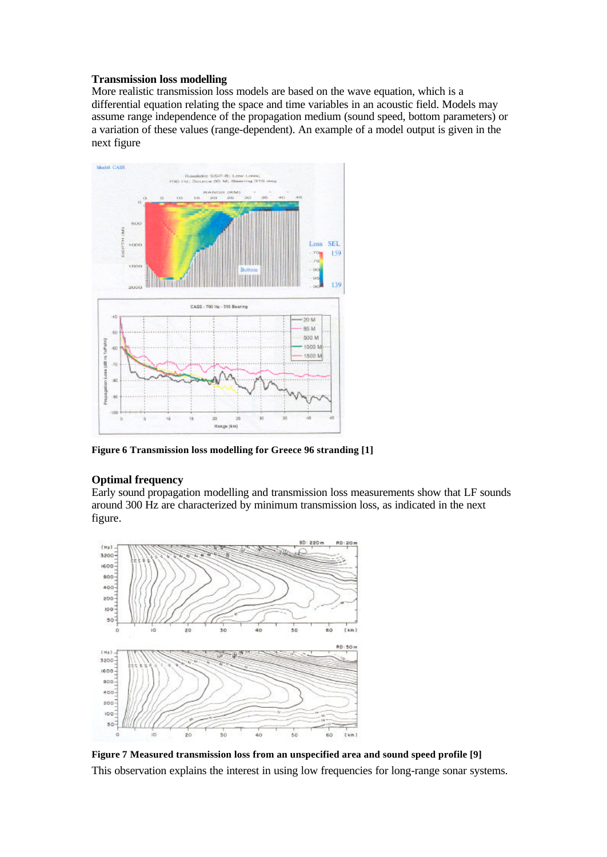## **Transmission loss modelling**

More realistic transmission loss models are based on the wave equation, which is a differential equation relating the space and time variables in an acoustic field. Models may assume range independence of the propagation medium (sound speed, bottom parameters) or a variation of these values (range-dependent). An example of a model output is given in the next figure



**Figure 6 Transmission loss modelling for Greece 96 stranding [1]**

## **Optimal frequency**

Early sound propagation modelling and transmission loss measurements show that LF sounds around 300 Hz are characterized by minimum transmission loss, as indicated in the next figure.



**Figure 7 Measured transmission loss from an unspecified area and sound speed profile [9]** This observation explains the interest in using low frequencies for long-range sonar systems.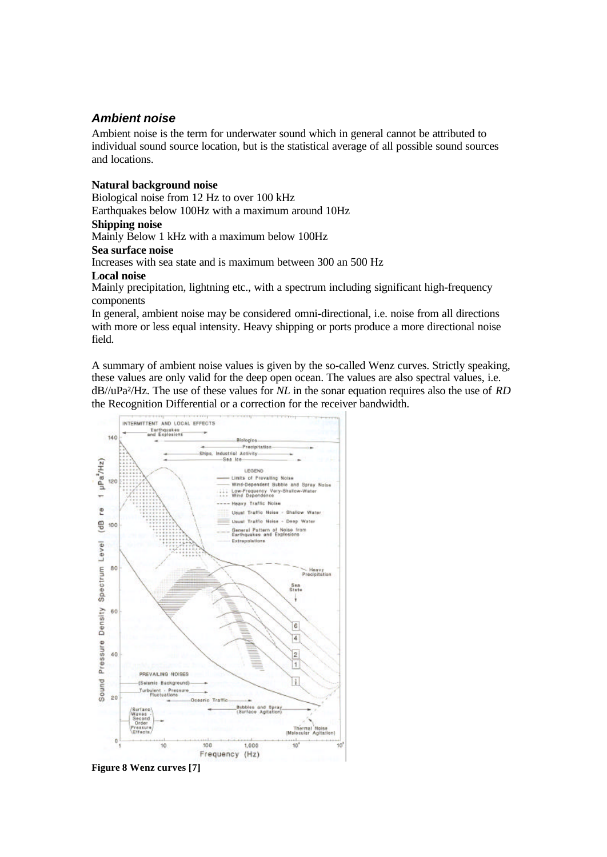# *Ambient noise*

Ambient noise is the term for underwater sound which in general cannot be attributed to individual sound source location, but is the statistical average of all possible sound sources and locations.

## **Natural background noise**

Biological noise from 12 Hz to over 100 kHz Earthquakes below 100Hz with a maximum around 10Hz

#### **Shipping noise**

Mainly Below 1 kHz with a maximum below 100Hz

## **Sea surface noise**

Increases with sea state and is maximum between 300 an 500 Hz

## **Local noise**

Mainly precipitation, lightning etc., with a spectrum including significant high-frequency components

In general, ambient noise may be considered omni-directional, i.e. noise from all directions with more or less equal intensity. Heavy shipping or ports produce a more directional noise field.

A summary of ambient noise values is given by the so-called Wenz curves. Strictly speaking, these values are only valid for the deep open ocean. The values are also spectral values, i.e. dB//uPa²/Hz. The use of these values for *NL* in the sonar equation requires also the use of *RD* the Recognition Differential or a correction for the receiver bandwidth.



**Figure 8 Wenz curves [7]**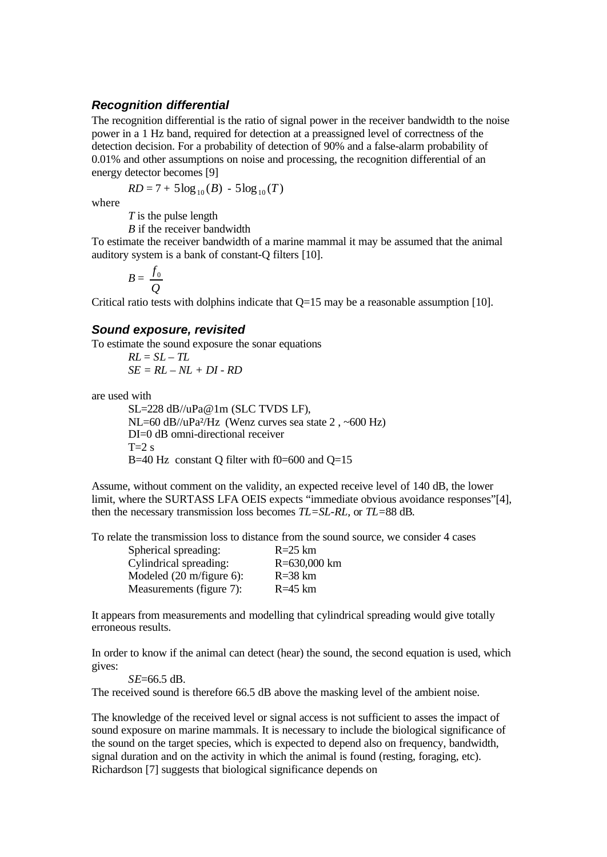## *Recognition differential*

The recognition differential is the ratio of signal power in the receiver bandwidth to the noise power in a 1 Hz band, required for detection at a preassigned level of correctness of the detection decision. For a probability of detection of 90% and a false-alarm probability of 0.01% and other assumptions on noise and processing, the recognition differential of an energy detector becomes [9]

$$
RD = 7 + 5\log_{10}(B) - 5\log_{10}(T)
$$

where

*T* is the pulse length

*B* if the receiver bandwidth

To estimate the receiver bandwidth of a marine mammal it may be assumed that the animal auditory system is a bank of constant-Q filters [10].

 $B =$ *Q*  $f_{0}$ 

Critical ratio tests with dolphins indicate that  $Q=15$  may be a reasonable assumption [10].

#### *Sound exposure, revisited*

To estimate the sound exposure the sonar equations

 $RL = SL - TL$ *SE = RL – NL + DI - RD*

are used with

SL=228 dB//uPa@1m (SLC TVDS LF), NL=60 dB//uPa<sup>2</sup>/Hz (Wenz curves sea state  $2, \sim 600$  Hz) DI=0 dB omni-directional receiver  $T=2 s$ B=40 Hz constant Q filter with  $f0=600$  and  $Q=15$ 

Assume, without comment on the validity, an expected receive level of 140 dB, the lower limit, where the SURTASS LFA OEIS expects "immediate obvious avoidance responses"[4], then the necessary transmission loss becomes *TL=SL-RL,* or *TL=*88 dB*.*

To relate the transmission loss to distance from the sound source, we consider 4 cases

| Spherical spreading:     | $R = 25$ km  |
|--------------------------|--------------|
| Cylindrical spreading:   | R=630,000 km |
| Modeled (20 m/figure 6): | $R = 38$ km  |
| Measurements (figure 7): | $R = 45$ km  |

It appears from measurements and modelling that cylindrical spreading would give totally erroneous results.

In order to know if the animal can detect (hear) the sound, the second equation is used, which gives:

*SE*=66.5 dB.

The received sound is therefore 66.5 dB above the masking level of the ambient noise.

The knowledge of the received level or signal access is not sufficient to asses the impact of sound exposure on marine mammals. It is necessary to include the biological significance of the sound on the target species, which is expected to depend also on frequency, bandwidth, signal duration and on the activity in which the animal is found (resting, foraging, etc). Richardson [7] suggests that biological significance depends on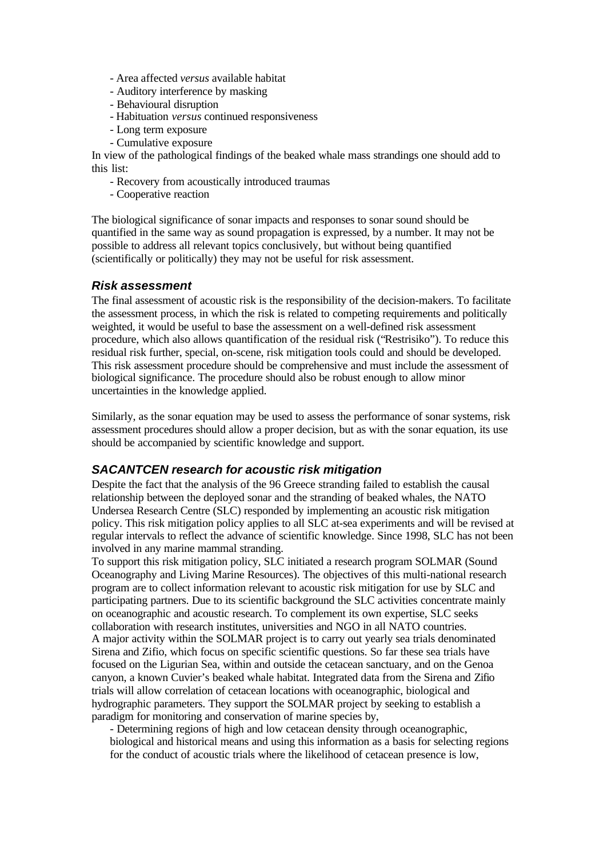- Area affected *versus* available habitat
- Auditory interference by masking
- Behavioural disruption
- Habituation *versus* continued responsiveness
- Long term exposure
- Cumulative exposure

In view of the pathological findings of the beaked whale mass strandings one should add to this list:

- Recovery from acoustically introduced traumas
- Cooperative reaction

The biological significance of sonar impacts and responses to sonar sound should be quantified in the same way as sound propagation is expressed, by a number. It may not be possible to address all relevant topics conclusively, but without being quantified (scientifically or politically) they may not be useful for risk assessment.

## *Risk assessment*

The final assessment of acoustic risk is the responsibility of the decision-makers. To facilitate the assessment process, in which the risk is related to competing requirements and politically weighted, it would be useful to base the assessment on a well-defined risk assessment procedure, which also allows quantification of the residual risk ("Restrisiko"). To reduce this residual risk further, special, on-scene, risk mitigation tools could and should be developed. This risk assessment procedure should be comprehensive and must include the assessment of biological significance. The procedure should also be robust enough to allow minor uncertainties in the knowledge applied.

Similarly, as the sonar equation may be used to assess the performance of sonar systems, risk assessment procedures should allow a proper decision, but as with the sonar equation, its use should be accompanied by scientific knowledge and support.

## *SACANTCEN research for acoustic risk mitigation*

Despite the fact that the analysis of the 96 Greece stranding failed to establish the causal relationship between the deployed sonar and the stranding of beaked whales, the NATO Undersea Research Centre (SLC) responded by implementing an acoustic risk mitigation policy. This risk mitigation policy applies to all SLC at-sea experiments and will be revised at regular intervals to reflect the advance of scientific knowledge. Since 1998, SLC has not been involved in any marine mammal stranding.

To support this risk mitigation policy, SLC initiated a research program SOLMAR (Sound Oceanography and Living Marine Resources). The objectives of this multi-national research program are to collect information relevant to acoustic risk mitigation for use by SLC and participating partners. Due to its scientific background the SLC activities concentrate mainly on oceanographic and acoustic research. To complement its own expertise, SLC seeks collaboration with research institutes, universities and NGO in all NATO countries. A major activity within the SOLMAR project is to carry out yearly sea trials denominated Sirena and Zifio, which focus on specific scientific questions. So far these sea trials have focused on the Ligurian Sea, within and outside the cetacean sanctuary, and on the Genoa canyon, a known Cuvier's beaked whale habitat. Integrated data from the Sirena and Zifio trials will allow correlation of cetacean locations with oceanographic, biological and hydrographic parameters. They support the SOLMAR project by seeking to establish a paradigm for monitoring and conservation of marine species by,

- Determining regions of high and low cetacean density through oceanographic,

biological and historical means and using this information as a basis for selecting regions for the conduct of acoustic trials where the likelihood of cetacean presence is low,